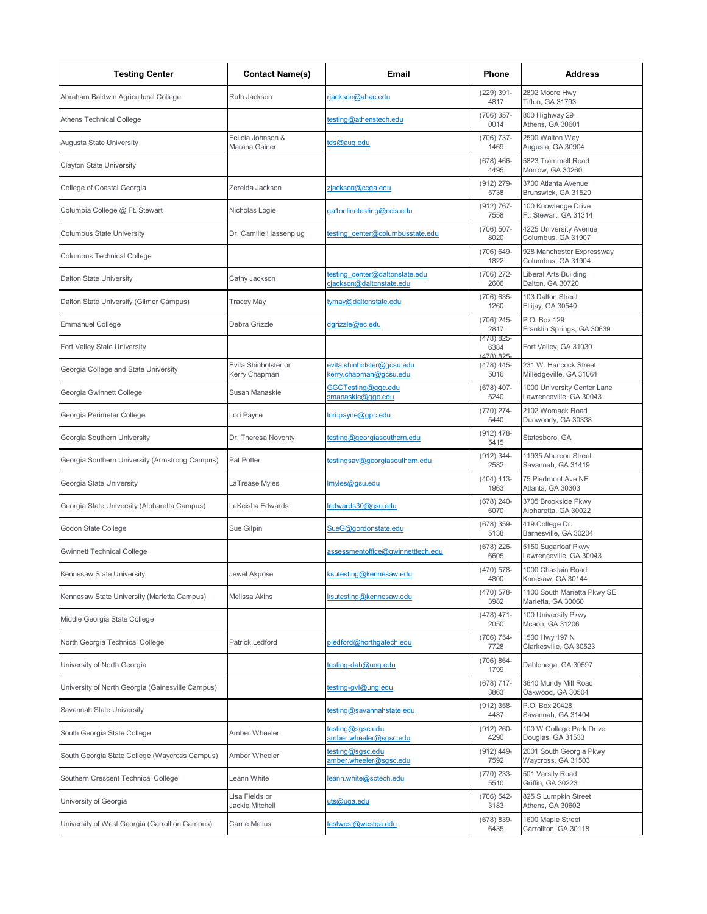| <b>Testing Center</b>                            | <b>Contact Name(s)</b>                | Email                                                      | Phone                            | <b>Address</b>                                         |
|--------------------------------------------------|---------------------------------------|------------------------------------------------------------|----------------------------------|--------------------------------------------------------|
| Abraham Baldwin Agricultural College             | Ruth Jackson                          | rjackson@abac.edu                                          | $(229)$ 391-<br>4817             | 2802 Moore Hwy<br><b>Tifton, GA 31793</b>              |
| Athens Technical College                         |                                       | esting@athenstech.edu                                      | $(706)$ 357-<br>0014             | 800 Highway 29<br>Athens, GA 30601                     |
| Augusta State University                         | Felicia Johnson &<br>Marana Gainer    | tds@aug.edu                                                | (706) 737-<br>1469               | 2500 Walton Way<br>Augusta, GA 30904                   |
| Clayton State University                         |                                       |                                                            | $(678)$ 466-<br>4495             | 5823 Trammell Road<br>Morrow, GA 30260                 |
| College of Coastal Georgia                       | Zerelda Jackson                       | zjackson@ccga.edu                                          | $(912) 279 -$<br>5738            | 3700 Atlanta Avenue<br>Brunswick, GA 31520             |
| Columbia College @ Ft. Stewart                   | Nicholas Logie                        | ga1onlinetesting@ccis.edu                                  | $(912) 767 -$<br>7558            | 100 Knowledge Drive<br>Ft. Stewart. GA 31314           |
| <b>Columbus State University</b>                 | Dr. Camille Hassenplug                | testing center@columbusstate.edu                           | $(706)$ 507-<br>8020             | 4225 University Avenue<br>Columbus, GA 31907           |
| Columbus Technical College                       |                                       |                                                            | (706) 649-<br>1822               | 928 Manchester Expressway<br>Columbus, GA 31904        |
| Dalton State University                          | Cathy Jackson                         | testing center@daltonstate.edu<br>cjackson@daltonstate.edu | $(706)$ 272-<br>2606             | Liberal Arts Building<br>Dalton, GA 30720              |
| Dalton State University (Gilmer Campus)          | Tracey May                            | tymay@daltonstate.edu                                      | (706) 635-<br>1260               | 103 Dalton Street<br>Ellijay, GA 30540                 |
| <b>Emmanuel College</b>                          | Debra Grizzle                         | dgrizzle@ec.edu                                            | $(706)$ 245-<br>2817             | P.O. Box 129<br>Franklin Springs, GA 30639             |
| Fort Valley State University                     |                                       |                                                            | (478) 825-<br>6384<br>(478) 825- | Fort Valley, GA 31030                                  |
| Georgia College and State University             | Evita Shinholster or<br>Kerry Chapman | evita.shinholster@gcsu.edu<br>kerry.chapman@gcsu.edu       | $(478)$ 445-<br>5016             | 231 W. Hancock Street<br>Milledgeville, GA 31061       |
| Georgia Gwinnett College                         | Susan Manaskie                        | GGCTesting@ggc.edu<br>smanaskie@ggc.edu                    | $(678)$ 407-<br>5240             | 1000 University Center Lane<br>Lawrenceville, GA 30043 |
| Georgia Perimeter College                        | Lori Payne                            | ori.payne@gpc.edu                                          | $(770)$ 274-<br>5440             | 2102 Womack Road<br>Dunwoody, GA 30338                 |
| Georgia Southern University                      | Dr. Theresa Novonty                   | testing@georgiasouthern.edu                                | $(912)$ 478-<br>5415             | Statesboro, GA                                         |
| Georgia Southern University (Armstrong Campus)   | Pat Potter                            | testingsav@georgiasouthern.edu                             | $(912)$ 344-<br>2582             | 11935 Abercon Street<br>Savannah, GA 31419             |
| Georgia State University                         | LaTrease Myles                        | myles@gsu.edu                                              | $(404)$ 413-<br>1963             | 75 Piedmont Ave NE<br>Atlanta, GA 30303                |
| Georgia State University (Alpharetta Campus)     | LeKeisha Edwards                      | ledwards30@gsu.edu                                         | $(678)$ 240-<br>6070             | 3705 Brookside Pkwy<br>Alpharetta, GA 30022            |
| Godon State College                              | Sue Gilpin                            | SueG@gordonstate.edu                                       | $(678)$ 359-<br>5138             | 419 College Dr.<br>Barnesville, GA 30204               |
| Gwinnett Technical College                       |                                       | assessmentoffice@gwinnetttech.edu                          | $(678)$ 226-<br>6605             | 5150 Sugarloaf Pkwy<br>Lawrenceville, GA 30043         |
| Kennesaw State University                        | Jewel Akpose                          | ksutesting@kennesaw.edu                                    | (470) 578-<br>4800               | 1000 Chastain Road<br>Knnesaw, GA 30144                |
| Kennesaw State University (Marietta Campus)      | Melissa Akins                         | ksutesting@kennesaw.edu                                    | $(470)$ 578-<br>3982             | 1100 South Marietta Pkwy SE<br>Marietta, GA 30060      |
| Middle Georgia State College                     |                                       |                                                            | $(478)$ 471-<br>2050             | 100 University Pkwy<br>Mcaon, GA 31206                 |
| North Georgia Technical College                  | Patrick Ledford                       | pledford@horthgatech.edu                                   | (706) 754-<br>7728               | 1500 Hwy 197 N<br>Clarkesville, GA 30523               |
| University of North Georgia                      |                                       | testing-dah@ung.edu                                        | $(706)864-$<br>1799              | Dahlonega, GA 30597                                    |
| University of North Georgia (Gainesville Campus) |                                       | testing-gyl@ung.edu                                        | $(678)$ 717-<br>3863             | 3640 Mundy Mill Road<br>Oakwood, GA 30504              |
| Savannah State University                        |                                       | testing@savannahstate.edu                                  | $(912)$ 358-<br>4487             | P.O. Box 20428<br>Savannah, GA 31404                   |
| South Georgia State College                      | Amber Wheeler                         | testing@sgsc.edu<br>amber.wheeler@sgsc.edu                 | $(912) 260 -$<br>4290            | 100 W College Park Drive<br>Douglas, GA 31533          |
| South Georgia State College (Waycross Campus)    | Amber Wheeler                         | testing@sgsc.edu<br>amber.wheeler@sgsc.edu                 | $(912)$ 449-<br>7592             | 2001 South Georgia Pkwy<br>Waycross, GA 31503          |
| Southern Crescent Technical College              | Leann White                           | eann.white@sctech.edu                                      | $(770)$ 233-<br>5510             | 501 Varsity Road<br>Griffin, GA 30223                  |
| University of Georgia                            | Lisa Fields or<br>Jackie Mitchell     | uts@uga.edu                                                | (706) 542-<br>3183               | 825 S Lumpkin Street<br>Athens, GA 30602               |
| University of West Georgia (Carrollton Campus)   | Carrie Melius                         | testwest@westga.edu                                        | $(678) 839 -$<br>6435            | 1600 Maple Street<br>Carrollton, GA 30118              |